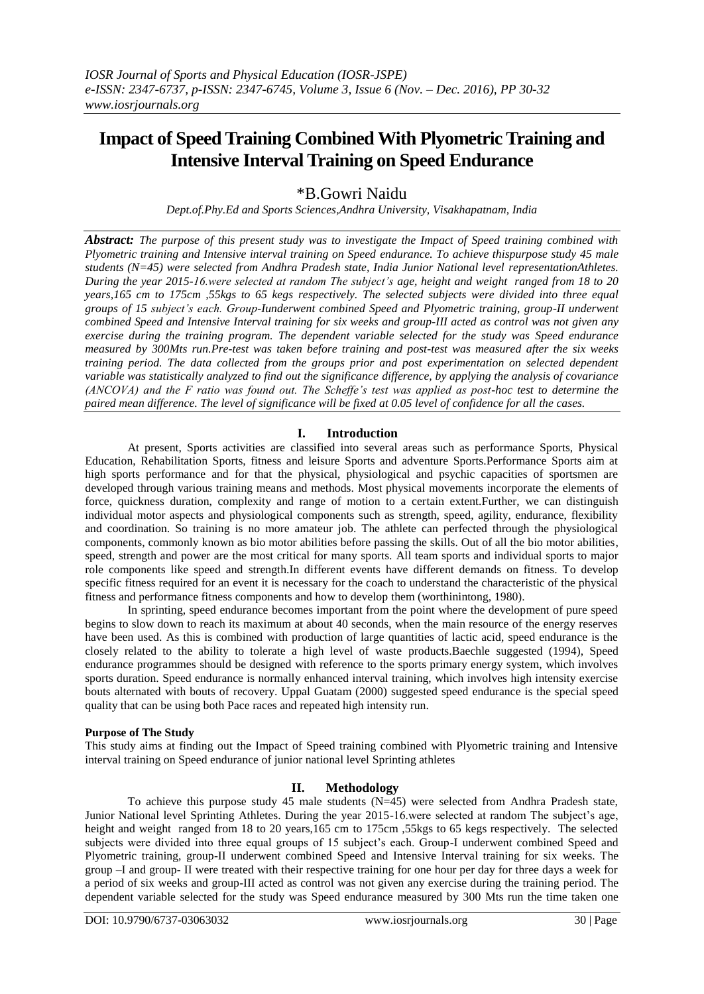# **Impact of Speed Training Combined With Plyometric Training and Intensive Interval Training on Speed Endurance**

\*B.Gowri Naidu

*Dept.of.Phy.Ed and Sports Sciences,Andhra University, Visakhapatnam, India*

*Abstract: The purpose of this present study was to investigate the Impact of Speed training combined with Plyometric training and Intensive interval training on Speed endurance. To achieve thispurpose study 45 male students (N=45) were selected from Andhra Pradesh state, India Junior National level representationAthletes. During the year 2015-16.were selected at random The subject's age, height and weight ranged from 18 to 20 years,165 cm to 175cm ,55kgs to 65 kegs respectively. The selected subjects were divided into three equal groups of 15 subject's each. Group-Iunderwent combined Speed and Plyometric training, group-II underwent combined Speed and Intensive Interval training for six weeks and group-III acted as control was not given any exercise during the training program. The dependent variable selected for the study was Speed endurance measured by 300Mts run.Pre-test was taken before training and post-test was measured after the six weeks training period. The data collected from the groups prior and post experimentation on selected dependent variable was statistically analyzed to find out the significance difference, by applying the analysis of covariance (ANCOVA) and the F ratio was found out. The Scheffe's test was applied as post-hoc test to determine the paired mean difference. The level of significance will be fixed at 0.05 level of confidence for all the cases.* 

## **I. Introduction**

At present, Sports activities are classified into several areas such as performance Sports, Physical Education, Rehabilitation Sports, fitness and leisure Sports and adventure Sports.Performance Sports aim at high sports performance and for that the physical, physiological and psychic capacities of sportsmen are developed through various training means and methods. Most physical movements incorporate the elements of force, quickness duration, complexity and range of motion to a certain extent.Further, we can distinguish individual motor aspects and physiological components such as strength, speed, agility, endurance, flexibility and coordination. So training is no more amateur job. The athlete can perfected through the physiological components, commonly known as bio motor abilities before passing the skills. Out of all the bio motor abilities, speed, strength and power are the most critical for many sports. All team sports and individual sports to major role components like speed and strength.In different events have different demands on fitness. To develop specific fitness required for an event it is necessary for the coach to understand the characteristic of the physical fitness and performance fitness components and how to develop them (worthinintong, 1980).

In sprinting, speed endurance becomes important from the point where the development of pure speed begins to slow down to reach its maximum at about 40 seconds, when the main resource of the energy reserves have been used. As this is combined with production of large quantities of lactic acid, speed endurance is the closely related to the ability to tolerate a high level of waste products.Baechle suggested (1994), Speed endurance programmes should be designed with reference to the sports primary energy system, which involves sports duration. Speed endurance is normally enhanced interval training, which involves high intensity exercise bouts alternated with bouts of recovery. Uppal Guatam (2000) suggested speed endurance is the special speed quality that can be using both Pace races and repeated high intensity run.

## **Purpose of The Study**

This study aims at finding out the Impact of Speed training combined with Plyometric training and Intensive interval training on Speed endurance of junior national level Sprinting athletes

## **II. Methodology**

To achieve this purpose study 45 male students  $(N=45)$  were selected from Andhra Pradesh state, Junior National level Sprinting Athletes. During the year 2015-16.were selected at random The subject's age, height and weight ranged from 18 to 20 years,165 cm to 175cm ,55kgs to 65 kegs respectively. The selected subjects were divided into three equal groups of 15 subject's each. Group-I underwent combined Speed and Plyometric training, group-II underwent combined Speed and Intensive Interval training for six weeks. The group –I and group- II were treated with their respective training for one hour per day for three days a week for a period of six weeks and group-III acted as control was not given any exercise during the training period. The dependent variable selected for the study was Speed endurance measured by 300 Mts run the time taken one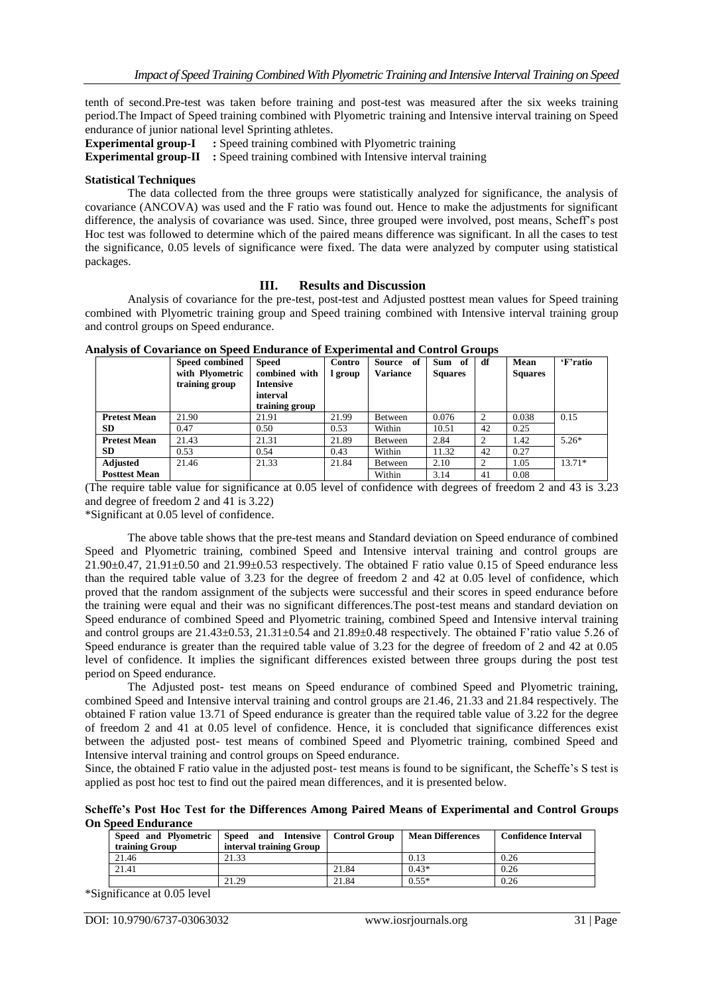tenth of second.Pre-test was taken before training and post-test was measured after the six weeks training period.The Impact of Speed training combined with Plyometric training and Intensive interval training on Speed endurance of junior national level Sprinting athletes.

**Experimental group-I** : Speed training combined with Plyometric training

**Experimental group-II** : Speed training combined with Intensive interval training

#### **Statistical Techniques**

The data collected from the three groups were statistically analyzed for significance, the analysis of covariance (ANCOVA) was used and the F ratio was found out. Hence to make the adjustments for significant difference, the analysis of covariance was used. Since, three grouped were involved, post means, Scheff's post Hoc test was followed to determine which of the paired means difference was significant. In all the cases to test the significance, 0.05 levels of significance were fixed. The data were analyzed by computer using statistical packages.

### **III. Results and Discussion**

Analysis of covariance for the pre-test, post-test and Adjusted posttest mean values for Speed training combined with Plyometric training group and Speed training combined with Intensive interval training group and control groups on Speed endurance.

|                      | Speed combined  | <b>Speed</b>     | Contro  | Source<br>of    | Sum of         | df | Mean           | 'F'ratio |
|----------------------|-----------------|------------------|---------|-----------------|----------------|----|----------------|----------|
|                      | with Plyometric | combined with    | l group | <b>Variance</b> | <b>Squares</b> |    | <b>Squares</b> |          |
|                      | training group  | <b>Intensive</b> |         |                 |                |    |                |          |
|                      |                 | interval         |         |                 |                |    |                |          |
|                      |                 | training group   |         |                 |                |    |                |          |
| <b>Pretest Mean</b>  | 21.90           | 21.91            | 21.99   | Between         | 0.076          | C  | 0.038          | 0.15     |
| <b>SD</b>            | 0.47            | 0.50             | 0.53    | Within          | 10.51          | 42 | 0.25           |          |
| <b>Pretest Mean</b>  | 21.43           | 21.31            | 21.89   | Between         | 2.84           |    | 1.42           | $5.26*$  |
| <b>SD</b>            | 0.53            | 0.54             | 0.43    | Within          | 11.32          | 42 | 0.27           |          |
| <b>Adjusted</b>      | 21.46           | 21.33            | 21.84   | Between         | 2.10           |    | 1.05           | $13.71*$ |
| <b>Posttest Mean</b> |                 |                  |         | Within          | 3.14           | 41 | 0.08           |          |

|  |  | <b>Analysis of Covariance on Speed Endurance of Experimental and Control Groups</b> |
|--|--|-------------------------------------------------------------------------------------|
|--|--|-------------------------------------------------------------------------------------|

(The require table value for significance at 0.05 level of confidence with degrees of freedom 2 and 43 is 3.23 and degree of freedom 2 and 41 is 3.22)

\*Significant at 0.05 level of confidence.

The above table shows that the pre-test means and Standard deviation on Speed endurance of combined Speed and Plyometric training, combined Speed and Intensive interval training and control groups are  $21.90\pm0.47$ ,  $21.91\pm0.50$  and  $21.99\pm0.53$  respectively. The obtained F ratio value 0.15 of Speed endurance less than the required table value of 3.23 for the degree of freedom 2 and 42 at 0.05 level of confidence, which proved that the random assignment of the subjects were successful and their scores in speed endurance before the training were equal and their was no significant differences.The post-test means and standard deviation on Speed endurance of combined Speed and Plyometric training, combined Speed and Intensive interval training and control groups are  $21.43\pm0.53$ ,  $21.31\pm0.54$  and  $21.89\pm0.48$  respectively. The obtained F'ratio value 5.26 of Speed endurance is greater than the required table value of 3.23 for the degree of freedom of 2 and 42 at 0.05 level of confidence. It implies the significant differences existed between three groups during the post test period on Speed endurance.

The Adjusted post- test means on Speed endurance of combined Speed and Plyometric training, combined Speed and Intensive interval training and control groups are 21.46, 21.33 and 21.84 respectively. The obtained F ration value 13.71 of Speed endurance is greater than the required table value of 3.22 for the degree of freedom 2 and 41 at 0.05 level of confidence. Hence, it is concluded that significance differences exist between the adjusted post- test means of combined Speed and Plyometric training, combined Speed and Intensive interval training and control groups on Speed endurance.

Since, the obtained F ratio value in the adjusted post- test means is found to be significant, the Scheffe's S test is applied as post hoc test to find out the paired mean differences, and it is presented below.

**Scheffe's Post Hoc Test for the Differences Among Paired Means of Experimental and Control Groups On Speed Endurance**

| Speed and Plyometric<br>training Group | Speed and Intensive   Control Group<br>interval training Group |       | <b>Mean Differences</b> | <b>Confidence Interval</b> |  |  |  |
|----------------------------------------|----------------------------------------------------------------|-------|-------------------------|----------------------------|--|--|--|
| 21.46                                  | 21.33                                                          |       | 0.13                    | 0.26                       |  |  |  |
| 21.41                                  |                                                                | 21.84 | $0.43*$                 | 0.26                       |  |  |  |
|                                        | 21.29                                                          | 21.84 | $0.55*$                 | 0.26                       |  |  |  |

\*Significance at 0.05 level